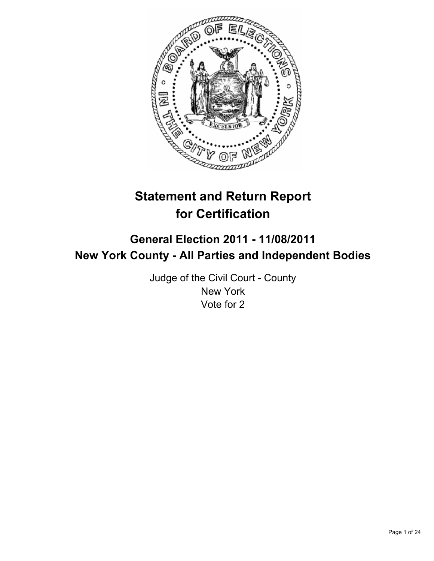

# **Statement and Return Report for Certification**

# **General Election 2011 - 11/08/2011 New York County - All Parties and Independent Bodies**

Judge of the Civil Court - County New York Vote for 2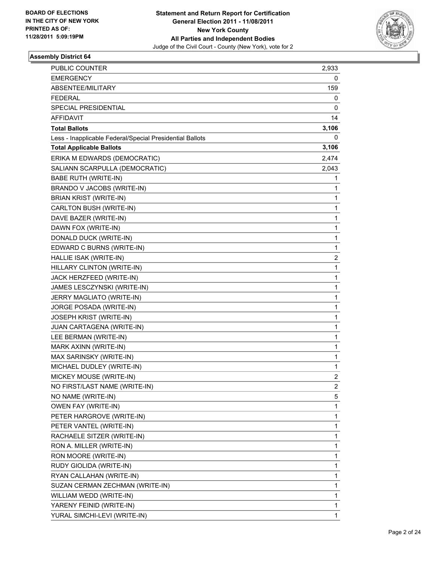

| PUBLIC COUNTER                                           | 2,933          |
|----------------------------------------------------------|----------------|
| <b>EMERGENCY</b>                                         | 0              |
| ABSENTEE/MILITARY                                        | 159            |
| <b>FEDERAL</b>                                           | 0              |
| SPECIAL PRESIDENTIAL                                     | 0              |
| AFFIDAVIT                                                | 14             |
| <b>Total Ballots</b>                                     | 3,106          |
| Less - Inapplicable Federal/Special Presidential Ballots | 0              |
| <b>Total Applicable Ballots</b>                          | 3,106          |
| ERIKA M EDWARDS (DEMOCRATIC)                             | 2,474          |
| SALIANN SCARPULLA (DEMOCRATIC)                           | 2,043          |
| <b>BABE RUTH (WRITE-IN)</b>                              | 1              |
| BRANDO V JACOBS (WRITE-IN)                               | 1              |
| <b>BRIAN KRIST (WRITE-IN)</b>                            | 1              |
| CARLTON BUSH (WRITE-IN)                                  | 1              |
| DAVE BAZER (WRITE-IN)                                    | 1              |
| DAWN FOX (WRITE-IN)                                      | 1              |
| DONALD DUCK (WRITE-IN)                                   | 1              |
| EDWARD C BURNS (WRITE-IN)                                | 1              |
| HALLIE ISAK (WRITE-IN)                                   | 2              |
| HILLARY CLINTON (WRITE-IN)                               | 1              |
| JACK HERZFEED (WRITE-IN)                                 | 1              |
| JAMES LESCZYNSKI (WRITE-IN)                              | 1              |
| JERRY MAGLIATO (WRITE-IN)                                | 1              |
| JORGE POSADA (WRITE-IN)                                  | 1              |
| JOSEPH KRIST (WRITE-IN)                                  | $\mathbf 1$    |
| JUAN CARTAGENA (WRITE-IN)                                | 1              |
| LEE BERMAN (WRITE-IN)                                    | 1              |
| MARK AXINN (WRITE-IN)                                    | 1              |
| MAX SARINSKY (WRITE-IN)                                  | 1              |
| MICHAEL DUDLEY (WRITE-IN)                                | 1              |
| MICKEY MOUSE (WRITE-IN)                                  | $\overline{2}$ |
| NO FIRST/LAST NAME (WRITE-IN)                            | 2              |
| NO NAME (WRITE-IN)                                       | 5              |
| OWEN FAY (WRITE-IN)                                      | 1              |
| PETER HARGROVE (WRITE-IN)                                | 1              |
| PETER VANTEL (WRITE-IN)                                  | 1              |
| RACHAELE SITZER (WRITE-IN)                               | 1              |
| RON A. MILLER (WRITE-IN)                                 | 1              |
| RON MOORE (WRITE-IN)                                     | 1              |
| RUDY GIOLIDA (WRITE-IN)                                  | 1              |
| RYAN CALLAHAN (WRITE-IN)                                 | 1              |
| SUZAN CERMAN ZECHMAN (WRITE-IN)                          | 1              |
| WILLIAM WEDD (WRITE-IN)                                  | 1              |
| YARENY FEINID (WRITE-IN)                                 | 1              |
| YURAL SIMCHI-LEVI (WRITE-IN)                             | 1              |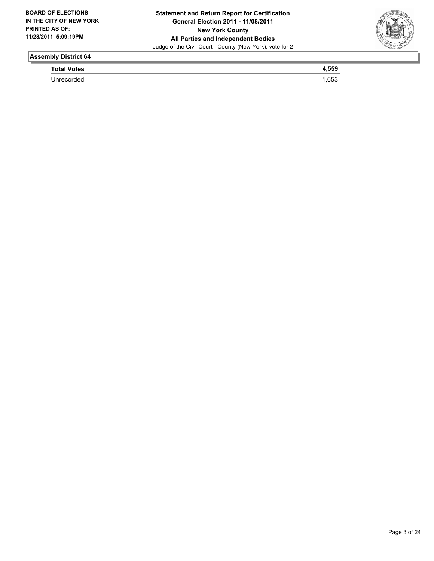

**Total Votes 4,559** 

Unrecorded 1,653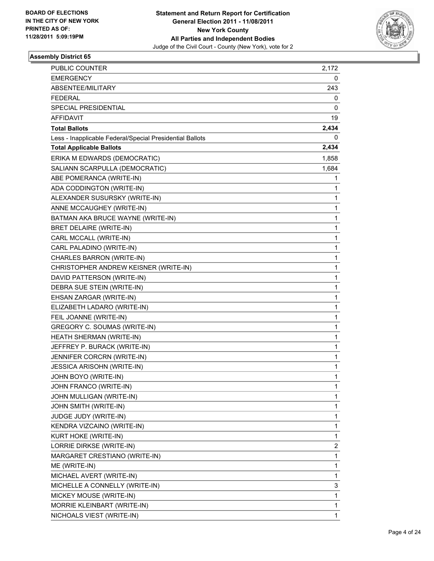

| PUBLIC COUNTER                                           | 2,172 |
|----------------------------------------------------------|-------|
| <b>EMERGENCY</b>                                         | 0     |
| ABSENTEE/MILITARY                                        | 243   |
| <b>FEDERAL</b>                                           | 0     |
| SPECIAL PRESIDENTIAL                                     | 0     |
| AFFIDAVIT                                                | 19    |
| <b>Total Ballots</b>                                     | 2,434 |
| Less - Inapplicable Federal/Special Presidential Ballots | 0     |
| <b>Total Applicable Ballots</b>                          | 2,434 |
| ERIKA M EDWARDS (DEMOCRATIC)                             | 1,858 |
| SALIANN SCARPULLA (DEMOCRATIC)                           | 1,684 |
| ABE POMERANCA (WRITE-IN)                                 | 1     |
| ADA CODDINGTON (WRITE-IN)                                | 1     |
| ALEXANDER SUSURSKY (WRITE-IN)                            | 1     |
| ANNE MCCAUGHEY (WRITE-IN)                                | 1     |
| BATMAN AKA BRUCE WAYNE (WRITE-IN)                        | 1     |
| BRET DELAIRE (WRITE-IN)                                  | 1     |
| CARL MCCALL (WRITE-IN)                                   | 1     |
| CARL PALADINO (WRITE-IN)                                 | 1     |
| CHARLES BARRON (WRITE-IN)                                | 1     |
| CHRISTOPHER ANDREW KEISNER (WRITE-IN)                    | 1     |
| DAVID PATTERSON (WRITE-IN)                               | 1     |
| DEBRA SUE STEIN (WRITE-IN)                               | 1     |
| EHSAN ZARGAR (WRITE-IN)                                  | 1     |
| ELIZABETH LADARO (WRITE-IN)                              | 1     |
| FEIL JOANNE (WRITE-IN)                                   | 1     |
| GREGORY C. SOUMAS (WRITE-IN)                             | 1     |
| HEATH SHERMAN (WRITE-IN)                                 | 1     |
| JEFFREY P. BURACK (WRITE-IN)                             | 1     |
| JENNIFER CORCRN (WRITE-IN)                               | 1     |
| JESSICA ARISOHN (WRITE-IN)                               | 1     |
| JOHN BOYO (WRITE-IN)                                     | 1     |
| JOHN FRANCO (WRITE-IN)                                   | 1     |
| JOHN MULLIGAN (WRITE-IN)                                 | 1     |
| JOHN SMITH (WRITE-IN)                                    | 1     |
| JUDGE JUDY (WRITE-IN)                                    | 1     |
| KENDRA VIZCAINO (WRITE-IN)                               | 1     |
| KURT HOKE (WRITE-IN)                                     | 1     |
| LORRIE DIRKSE (WRITE-IN)                                 | 2     |
| MARGARET CRESTIANO (WRITE-IN)                            | 1     |
| ME (WRITE-IN)                                            | 1     |
| MICHAEL AVERT (WRITE-IN)                                 | 1     |
| MICHELLE A CONNELLY (WRITE-IN)                           | 3     |
| MICKEY MOUSE (WRITE-IN)                                  | 1     |
| MORRIE KLEINBART (WRITE-IN)                              | 1     |
| NICHOALS VIEST (WRITE-IN)                                | 1     |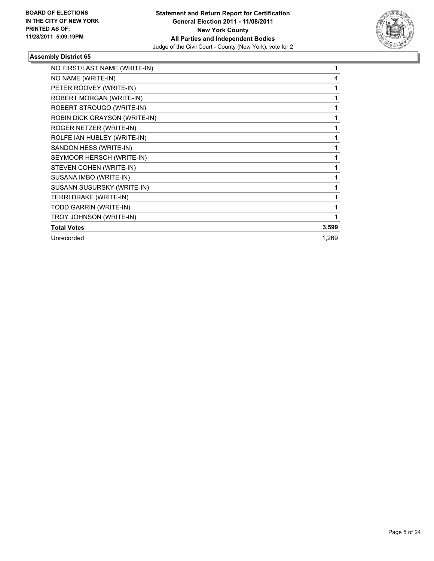

| NO FIRST/LAST NAME (WRITE-IN) |       |
|-------------------------------|-------|
| NO NAME (WRITE-IN)            | 4     |
| PETER ROOVEY (WRITE-IN)       |       |
| ROBERT MORGAN (WRITE-IN)      |       |
| ROBERT STROUGO (WRITE-IN)     |       |
| ROBIN DICK GRAYSON (WRITE-IN) |       |
| ROGER NETZER (WRITE-IN)       |       |
| ROLFE IAN HUBLEY (WRITE-IN)   |       |
| SANDON HESS (WRITE-IN)        |       |
| SEYMOOR HERSCH (WRITE-IN)     |       |
| STEVEN COHEN (WRITE-IN)       |       |
| SUSANA IMBO (WRITE-IN)        |       |
| SUSANN SUSURSKY (WRITE-IN)    |       |
| TERRI DRAKE (WRITE-IN)        |       |
| TODD GARRIN (WRITE-IN)        |       |
| TROY JOHNSON (WRITE-IN)       |       |
| <b>Total Votes</b>            | 3,599 |
| Unrecorded                    | 1,269 |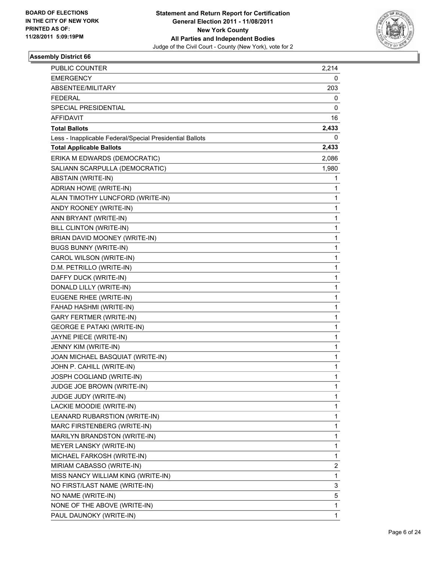

| PUBLIC COUNTER                                           | 2,214 |
|----------------------------------------------------------|-------|
| <b>EMERGENCY</b>                                         | 0     |
| ABSENTEE/MILITARY                                        | 203   |
| <b>FEDERAL</b>                                           | 0     |
| SPECIAL PRESIDENTIAL                                     | 0     |
| AFFIDAVIT                                                | 16    |
| <b>Total Ballots</b>                                     | 2,433 |
| Less - Inapplicable Federal/Special Presidential Ballots | 0     |
| <b>Total Applicable Ballots</b>                          | 2,433 |
| ERIKA M EDWARDS (DEMOCRATIC)                             | 2,086 |
| SALIANN SCARPULLA (DEMOCRATIC)                           | 1,980 |
| ABSTAIN (WRITE-IN)                                       | 1     |
| ADRIAN HOWE (WRITE-IN)                                   | 1     |
| ALAN TIMOTHY LUNCFORD (WRITE-IN)                         | 1     |
| ANDY ROONEY (WRITE-IN)                                   | 1     |
| ANN BRYANT (WRITE-IN)                                    | 1     |
| <b>BILL CLINTON (WRITE-IN)</b>                           | 1     |
| BRIAN DAVID MOONEY (WRITE-IN)                            | 1     |
| <b>BUGS BUNNY (WRITE-IN)</b>                             | 1     |
| CAROL WILSON (WRITE-IN)                                  | 1     |
| D.M. PETRILLO (WRITE-IN)                                 | 1     |
| DAFFY DUCK (WRITE-IN)                                    | 1     |
| DONALD LILLY (WRITE-IN)                                  | 1     |
| EUGENE RHEE (WRITE-IN)                                   | 1     |
| FAHAD HASHMI (WRITE-IN)                                  | 1     |
| <b>GARY FERTMER (WRITE-IN)</b>                           | 1     |
| <b>GEORGE E PATAKI (WRITE-IN)</b>                        | 1     |
| JAYNE PIECE (WRITE-IN)                                   | 1     |
| JENNY KIM (WRITE-IN)                                     | 1     |
| JOAN MICHAEL BASQUIAT (WRITE-IN)                         | 1     |
| JOHN P. CAHILL (WRITE-IN)                                | 1     |
| JOSPH COGLIAND (WRITE-IN)                                | 1     |
| JUDGE JOE BROWN (WRITE-IN)                               | 1     |
| JUDGE JUDY (WRITE-IN)                                    | 1     |
| LACKIE MOODIE (WRITE-IN)                                 | 1     |
| LEANARD RUBARSTION (WRITE-IN)                            | 1     |
| MARC FIRSTENBERG (WRITE-IN)                              | 1     |
| MARILYN BRANDSTON (WRITE-IN)                             | 1     |
| MEYER LANSKY (WRITE-IN)                                  | 1     |
| MICHAEL FARKOSH (WRITE-IN)                               | 1     |
| MIRIAM CABASSO (WRITE-IN)                                | 2     |
| MISS NANCY WILLIAM KING (WRITE-IN)                       | 1     |
| NO FIRST/LAST NAME (WRITE-IN)                            | 3     |
| NO NAME (WRITE-IN)                                       | 5     |
| NONE OF THE ABOVE (WRITE-IN)                             | 1     |
| PAUL DAUNOKY (WRITE-IN)                                  | 1     |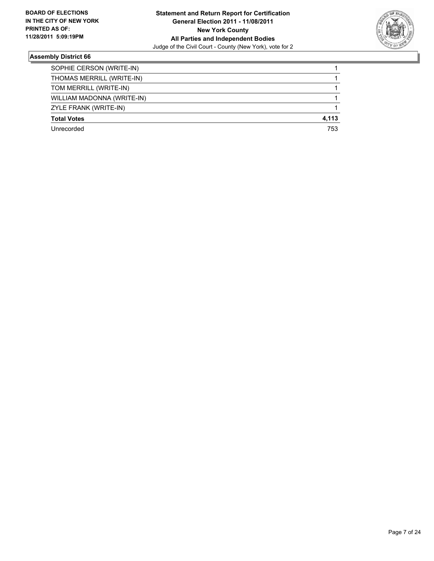

| SOPHIE CERSON (WRITE-IN)   |       |
|----------------------------|-------|
|                            |       |
| THOMAS MERRILL (WRITE-IN)  |       |
| TOM MERRILL (WRITE-IN)     |       |
| WILLIAM MADONNA (WRITE-IN) |       |
| ZYLE FRANK (WRITE-IN)      |       |
| <b>Total Votes</b>         | 4,113 |
| Unrecorded                 | 753   |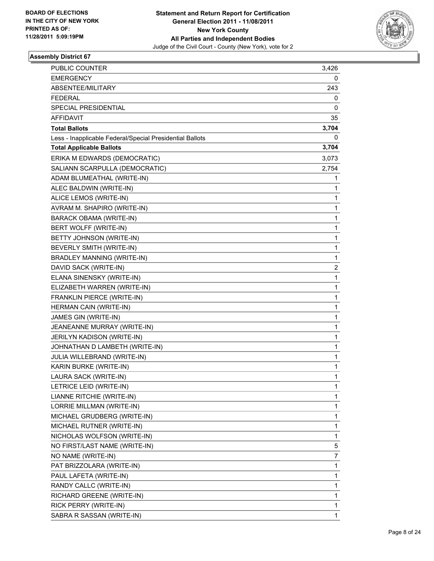

| PUBLIC COUNTER                                           | 3,426 |
|----------------------------------------------------------|-------|
| <b>EMERGENCY</b>                                         | 0     |
| ABSENTEE/MILITARY                                        | 243   |
| <b>FEDERAL</b>                                           | 0     |
| SPECIAL PRESIDENTIAL                                     | 0     |
| AFFIDAVIT                                                | 35    |
| <b>Total Ballots</b>                                     | 3,704 |
| Less - Inapplicable Federal/Special Presidential Ballots | 0     |
| <b>Total Applicable Ballots</b>                          | 3,704 |
| ERIKA M EDWARDS (DEMOCRATIC)                             | 3,073 |
| SALIANN SCARPULLA (DEMOCRATIC)                           | 2,754 |
| ADAM BLUMEATHAL (WRITE-IN)                               | 1     |
| ALEC BALDWIN (WRITE-IN)                                  | 1     |
| ALICE LEMOS (WRITE-IN)                                   | 1     |
| AVRAM M. SHAPIRO (WRITE-IN)                              | 1     |
| BARACK OBAMA (WRITE-IN)                                  | 1     |
| BERT WOLFF (WRITE-IN)                                    | 1     |
| BETTY JOHNSON (WRITE-IN)                                 | 1     |
| BEVERLY SMITH (WRITE-IN)                                 | 1     |
| BRADLEY MANNING (WRITE-IN)                               | 1     |
| DAVID SACK (WRITE-IN)                                    | 2     |
| ELANA SINENSKY (WRITE-IN)                                | 1     |
| ELIZABETH WARREN (WRITE-IN)                              | 1     |
| FRANKLIN PIERCE (WRITE-IN)                               | 1     |
| HERMAN CAIN (WRITE-IN)                                   | 1     |
| JAMES GIN (WRITE-IN)                                     | 1     |
| JEANEANNE MURRAY (WRITE-IN)                              | 1     |
| JERILYN KADISON (WRITE-IN)                               | 1     |
| JOHNATHAN D LAMBETH (WRITE-IN)                           | 1     |
| JULIA WILLEBRAND (WRITE-IN)                              | 1     |
| KARIN BURKE (WRITE-IN)                                   | 1     |
| LAURA SACK (WRITE-IN)                                    | 1     |
| LETRICE LEID (WRITE-IN)                                  | 1     |
| LIANNE RITCHIE (WRITE-IN)                                | 1     |
| LORRIE MILLMAN (WRITE-IN)                                | 1     |
| MICHAEL GRUDBERG (WRITE-IN)                              | 1     |
| MICHAEL RUTNER (WRITE-IN)                                | 1     |
| NICHOLAS WOLFSON (WRITE-IN)                              | 1     |
| NO FIRST/LAST NAME (WRITE-IN)                            | 5     |
| NO NAME (WRITE-IN)                                       | 7     |
| PAT BRIZZOLARA (WRITE-IN)                                | 1     |
| PAUL LAFETA (WRITE-IN)                                   | 1     |
| RANDY CALLC (WRITE-IN)                                   | 1     |
| RICHARD GREENE (WRITE-IN)                                | 1     |
| RICK PERRY (WRITE-IN)                                    | 1     |
| SABRA R SASSAN (WRITE-IN)                                | 1     |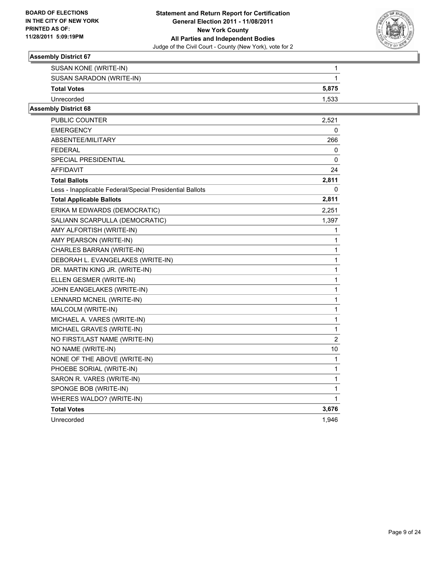

| SUSAN KONE (WRITE-IN)    |       |
|--------------------------|-------|
| SUSAN SARADON (WRITE-IN) |       |
| <b>Total Votes</b>       | 5.875 |
| Unrecorded               | 1.533 |

| PUBLIC COUNTER                                           | 2,521          |
|----------------------------------------------------------|----------------|
| <b>EMERGENCY</b>                                         | 0              |
| ABSENTEE/MILITARY                                        | 266            |
| <b>FEDERAL</b>                                           | 0              |
| SPECIAL PRESIDENTIAL                                     | 0              |
| AFFIDAVIT                                                | 24             |
| <b>Total Ballots</b>                                     | 2,811          |
| Less - Inapplicable Federal/Special Presidential Ballots | 0              |
| <b>Total Applicable Ballots</b>                          | 2,811          |
| ERIKA M EDWARDS (DEMOCRATIC)                             | 2,251          |
| SALIANN SCARPULLA (DEMOCRATIC)                           | 1,397          |
| AMY ALFORTISH (WRITE-IN)                                 | 1              |
| AMY PEARSON (WRITE-IN)                                   | 1              |
| CHARLES BARRAN (WRITE-IN)                                | 1              |
| DEBORAH L. EVANGELAKES (WRITE-IN)                        | $\mathbf{1}$   |
| DR. MARTIN KING JR. (WRITE-IN)                           | 1              |
| ELLEN GESMER (WRITE-IN)                                  | $\mathbf{1}$   |
| JOHN EANGELAKES (WRITE-IN)                               | 1              |
| LENNARD MCNEIL (WRITE-IN)                                | 1              |
| MALCOLM (WRITE-IN)                                       | $\mathbf{1}$   |
| MICHAEL A. VARES (WRITE-IN)                              | $\mathbf{1}$   |
| MICHAEL GRAVES (WRITE-IN)                                | $\mathbf{1}$   |
| NO FIRST/LAST NAME (WRITE-IN)                            | $\overline{2}$ |
| NO NAME (WRITE-IN)                                       | 10             |
| NONE OF THE ABOVE (WRITE-IN)                             | 1              |
| PHOEBE SORIAL (WRITE-IN)                                 | 1              |
| SARON R. VARES (WRITE-IN)                                | $\mathbf{1}$   |
| SPONGE BOB (WRITE-IN)                                    | 1              |
| WHERES WALDO? (WRITE-IN)                                 | 1              |
| <b>Total Votes</b>                                       | 3,676          |
| Unrecorded                                               | 1,946          |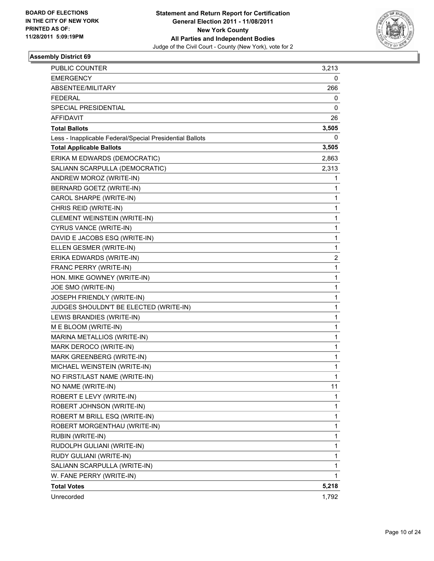

| PUBLIC COUNTER                                           | 3,213 |
|----------------------------------------------------------|-------|
| <b>EMERGENCY</b>                                         | 0     |
| ABSENTEE/MILITARY                                        | 266   |
| FEDERAL                                                  | 0     |
| SPECIAL PRESIDENTIAL                                     | 0     |
| AFFIDAVIT                                                | 26    |
| <b>Total Ballots</b>                                     | 3,505 |
| Less - Inapplicable Federal/Special Presidential Ballots | 0     |
| <b>Total Applicable Ballots</b>                          | 3,505 |
| ERIKA M EDWARDS (DEMOCRATIC)                             | 2,863 |
| SALIANN SCARPULLA (DEMOCRATIC)                           | 2,313 |
| ANDREW MOROZ (WRITE-IN)                                  | 1     |
| BERNARD GOETZ (WRITE-IN)                                 | 1     |
| CAROL SHARPE (WRITE-IN)                                  | 1     |
| CHRIS REID (WRITE-IN)                                    | 1     |
| CLEMENT WEINSTEIN (WRITE-IN)                             | 1     |
| CYRUS VANCE (WRITE-IN)                                   | 1     |
| DAVID E JACOBS ESQ (WRITE-IN)                            | 1     |
| ELLEN GESMER (WRITE-IN)                                  | 1     |
| ERIKA EDWARDS (WRITE-IN)                                 | 2     |
| FRANC PERRY (WRITE-IN)                                   | 1     |
| HON. MIKE GOWNEY (WRITE-IN)                              | 1     |
| JOE SMO (WRITE-IN)                                       | 1     |
| JOSEPH FRIENDLY (WRITE-IN)                               | 1     |
| JUDGES SHOULDN'T BE ELECTED (WRITE-IN)                   | 1     |
| LEWIS BRANDIES (WRITE-IN)                                | 1     |
| M E BLOOM (WRITE-IN)                                     | 1     |
| MARINA METALLIOS (WRITE-IN)                              | 1     |
| MARK DEROCO (WRITE-IN)                                   | 1     |
| MARK GREENBERG (WRITE-IN)                                | 1     |
| MICHAEL WEINSTEIN (WRITE-IN)                             | 1     |
| NO FIRST/LAST NAME (WRITE-IN)                            | 1     |
| NO NAME (WRITE-IN)                                       | 11    |
| ROBERT E LEVY (WRITE-IN)                                 | 1     |
| ROBERT JOHNSON (WRITE-IN)                                | 1     |
| ROBERT M BRILL ESQ (WRITE-IN)                            | 1     |
| ROBERT MORGENTHAU (WRITE-IN)                             | 1     |
| RUBIN (WRITE-IN)                                         | 1     |
| RUDOLPH GULIANI (WRITE-IN)                               | 1     |
| RUDY GULIANI (WRITE-IN)                                  | 1     |
| SALIANN SCARPULLA (WRITE-IN)                             | 1     |
| W. FANE PERRY (WRITE-IN)                                 | 1     |
| <b>Total Votes</b>                                       | 5,218 |
| Unrecorded                                               | 1,792 |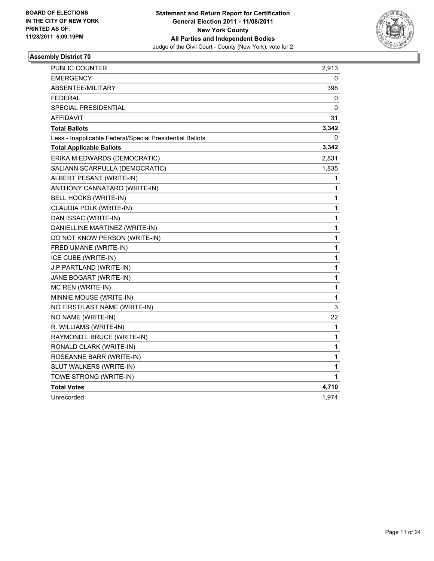

| <b>PUBLIC COUNTER</b>                                    | 2,913        |
|----------------------------------------------------------|--------------|
| <b>EMERGENCY</b>                                         | 0            |
| ABSENTEE/MILITARY                                        | 398          |
| <b>FEDERAL</b>                                           | 0            |
| SPECIAL PRESIDENTIAL                                     | 0            |
| <b>AFFIDAVIT</b>                                         | 31           |
| <b>Total Ballots</b>                                     | 3,342        |
| Less - Inapplicable Federal/Special Presidential Ballots | 0            |
| <b>Total Applicable Ballots</b>                          | 3,342        |
| ERIKA M EDWARDS (DEMOCRATIC)                             | 2,831        |
| SALIANN SCARPULLA (DEMOCRATIC)                           | 1,835        |
| ALBERT PESANT (WRITE-IN)                                 | 1            |
| ANTHONY CANNATARO (WRITE-IN)                             | 1            |
| BELL HOOKS (WRITE-IN)                                    | 1            |
| CLAUDIA POLK (WRITE-IN)                                  | 1            |
| DAN ISSAC (WRITE-IN)                                     | $\mathbf{1}$ |
| DANIELLINE MARTINEZ (WRITE-IN)                           | 1            |
| DO NOT KNOW PERSON (WRITE-IN)                            | 1            |
| FRED UMANE (WRITE-IN)                                    | 1            |
| ICE CUBE (WRITE-IN)                                      | $\mathbf 1$  |
| J.P.PARTLAND (WRITE-IN)                                  | 1            |
| JANE BOGART (WRITE-IN)                                   | 1            |
| MC REN (WRITE-IN)                                        | 1            |
| MINNIE MOUSE (WRITE-IN)                                  | 1            |
| NO FIRST/LAST NAME (WRITE-IN)                            | 3            |
| NO NAME (WRITE-IN)                                       | 22           |
| R. WILLIAMS (WRITE-IN)                                   | 1            |
| RAYMOND L BRUCE (WRITE-IN)                               | 1            |
| RONALD CLARK (WRITE-IN)                                  | 1            |
| ROSEANNE BARR (WRITE-IN)                                 | 1            |
| SLUT WALKERS (WRITE-IN)                                  | 1            |
| TOWE STRONG (WRITE-IN)                                   | 1            |
| <b>Total Votes</b>                                       | 4,710        |
| Unrecorded                                               | 1,974        |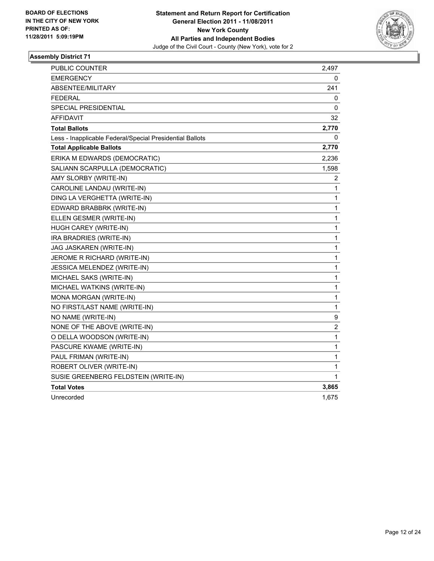

| <b>PUBLIC COUNTER</b>                                    | 2,497            |
|----------------------------------------------------------|------------------|
| EMERGENCY                                                | 0                |
| ABSENTEE/MILITARY                                        | 241              |
| <b>FEDERAL</b>                                           | 0                |
| <b>SPECIAL PRESIDENTIAL</b>                              | 0                |
| <b>AFFIDAVIT</b>                                         | 32               |
| <b>Total Ballots</b>                                     | 2,770            |
| Less - Inapplicable Federal/Special Presidential Ballots | 0                |
| <b>Total Applicable Ballots</b>                          | 2,770            |
| ERIKA M EDWARDS (DEMOCRATIC)                             | 2,236            |
| SALIANN SCARPULLA (DEMOCRATIC)                           | 1,598            |
| AMY SLORBY (WRITE-IN)                                    | 2                |
| CAROLINE LANDAU (WRITE-IN)                               | 1                |
| DING LA VERGHETTA (WRITE-IN)                             | 1                |
| EDWARD BRABBRK (WRITE-IN)                                | 1                |
| ELLEN GESMER (WRITE-IN)                                  | 1                |
| HUGH CAREY (WRITE-IN)                                    | $\mathbf 1$      |
| IRA BRADRIES (WRITE-IN)                                  | 1                |
| JAG JASKAREN (WRITE-IN)                                  | 1                |
| JEROME R RICHARD (WRITE-IN)                              | 1                |
| JESSICA MELENDEZ (WRITE-IN)                              | 1                |
| MICHAEL SAKS (WRITE-IN)                                  | $\mathbf{1}$     |
| MICHAEL WATKINS (WRITE-IN)                               | 1                |
| MONA MORGAN (WRITE-IN)                                   | 1                |
| NO FIRST/LAST NAME (WRITE-IN)                            | $\mathbf{1}$     |
| NO NAME (WRITE-IN)                                       | 9                |
| NONE OF THE ABOVE (WRITE-IN)                             | $\boldsymbol{2}$ |
| O DELLA WOODSON (WRITE-IN)                               | $\mathbf 1$      |
| PASCURE KWAME (WRITE-IN)                                 | 1                |
| PAUL FRIMAN (WRITE-IN)                                   | 1                |
| ROBERT OLIVER (WRITE-IN)                                 | 1                |
| SUSIE GREENBERG FELDSTEIN (WRITE-IN)                     | 1                |
| <b>Total Votes</b>                                       | 3,865            |
| Unrecorded                                               | 1,675            |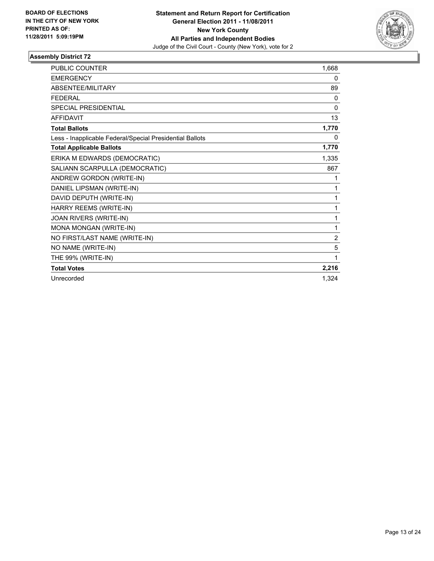

| <b>PUBLIC COUNTER</b>                                    | 1,668          |
|----------------------------------------------------------|----------------|
| <b>EMERGENCY</b>                                         | 0              |
| ABSENTEE/MILITARY                                        | 89             |
| <b>FEDERAL</b>                                           | 0              |
| <b>SPECIAL PRESIDENTIAL</b>                              | 0              |
| <b>AFFIDAVIT</b>                                         | 13             |
| <b>Total Ballots</b>                                     | 1,770          |
| Less - Inapplicable Federal/Special Presidential Ballots | 0              |
| <b>Total Applicable Ballots</b>                          | 1,770          |
| ERIKA M EDWARDS (DEMOCRATIC)                             | 1,335          |
| SALIANN SCARPULLA (DEMOCRATIC)                           | 867            |
| ANDREW GORDON (WRITE-IN)                                 | 1              |
| DANIEL LIPSMAN (WRITE-IN)                                | 1              |
| DAVID DEPUTH (WRITE-IN)                                  | 1              |
| HARRY REEMS (WRITE-IN)                                   | 1              |
| JOAN RIVERS (WRITE-IN)                                   | 1              |
| MONA MONGAN (WRITE-IN)                                   | 1              |
| NO FIRST/LAST NAME (WRITE-IN)                            | $\overline{2}$ |
| NO NAME (WRITE-IN)                                       | 5              |
| THE 99% (WRITE-IN)                                       | 1              |
| <b>Total Votes</b>                                       | 2,216          |
| Unrecorded                                               | 1,324          |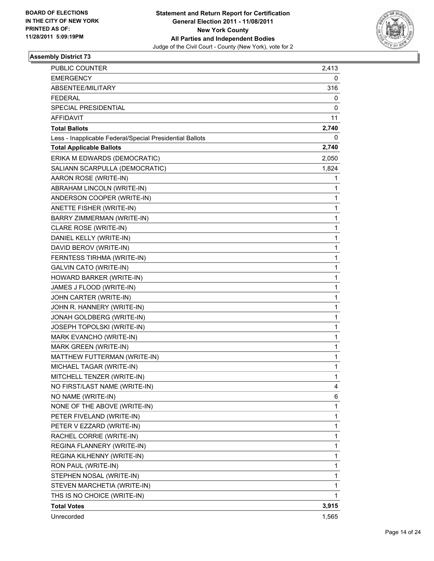

| <b>PUBLIC COUNTER</b>                                    | 2,413        |
|----------------------------------------------------------|--------------|
| <b>EMERGENCY</b>                                         | 0            |
| ABSENTEE/MILITARY                                        | 316          |
| <b>FEDERAL</b>                                           | 0            |
| SPECIAL PRESIDENTIAL                                     | 0            |
| AFFIDAVIT                                                | 11           |
| <b>Total Ballots</b>                                     | 2,740        |
| Less - Inapplicable Federal/Special Presidential Ballots | 0            |
| <b>Total Applicable Ballots</b>                          | 2,740        |
| ERIKA M EDWARDS (DEMOCRATIC)                             | 2,050        |
| SALIANN SCARPULLA (DEMOCRATIC)                           | 1,824        |
| AARON ROSE (WRITE-IN)                                    | 1            |
| ABRAHAM LINCOLN (WRITE-IN)                               | 1            |
| ANDERSON COOPER (WRITE-IN)                               | 1            |
| ANETTE FISHER (WRITE-IN)                                 | 1            |
| BARRY ZIMMERMAN (WRITE-IN)                               | 1            |
| CLARE ROSE (WRITE-IN)                                    | 1            |
| DANIEL KELLY (WRITE-IN)                                  | 1            |
| DAVID BEROV (WRITE-IN)                                   | 1            |
| FERNTESS TIRHMA (WRITE-IN)                               | 1            |
| GALVIN CATO (WRITE-IN)                                   | 1            |
| HOWARD BARKER (WRITE-IN)                                 | 1            |
| JAMES J FLOOD (WRITE-IN)                                 | 1            |
| JOHN CARTER (WRITE-IN)                                   | 1            |
| JOHN R. HANNERY (WRITE-IN)                               | 1            |
| JONAH GOLDBERG (WRITE-IN)                                | 1            |
| JOSEPH TOPOLSKI (WRITE-IN)                               | 1            |
| MARK EVANCHO (WRITE-IN)                                  | 1            |
| MARK GREEN (WRITE-IN)                                    | 1            |
| MATTHEW FUTTERMAN (WRITE-IN)                             | $\mathbf{1}$ |
| MICHAEL TAGAR (WRITE-IN)                                 | 1            |
| MITCHELL TENZER (WRITE-IN)                               | 1            |
| NO FIRST/LAST NAME (WRITE-IN)                            | 4            |
| NO NAME (WRITE-IN)                                       | 6            |
| NONE OF THE ABOVE (WRITE-IN)                             | 1            |
| PETER FIVELAND (WRITE-IN)                                | 1            |
| PETER V EZZARD (WRITE-IN)                                | 1            |
| RACHEL CORRIE (WRITE-IN)                                 | 1            |
| REGINA FLANNERY (WRITE-IN)                               | 1            |
| REGINA KILHENNY (WRITE-IN)                               | 1            |
| RON PAUL (WRITE-IN)                                      | 1            |
| STEPHEN NOSAL (WRITE-IN)                                 | 1            |
| STEVEN MARCHETIA (WRITE-IN)                              | 1            |
| THS IS NO CHOICE (WRITE-IN)                              | 1            |
| <b>Total Votes</b>                                       | 3,915        |
| Unrecorded                                               | 1,565        |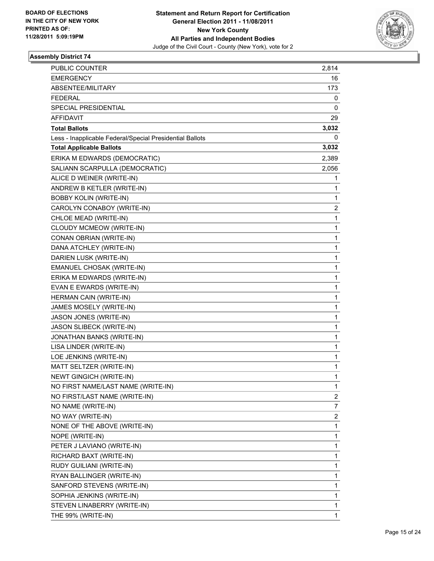

| PUBLIC COUNTER                                           | 2,814        |
|----------------------------------------------------------|--------------|
| <b>EMERGENCY</b>                                         | 16           |
| ABSENTEE/MILITARY                                        | 173          |
| <b>FEDERAL</b>                                           | 0            |
| SPECIAL PRESIDENTIAL                                     | 0            |
| AFFIDAVIT                                                | 29           |
| <b>Total Ballots</b>                                     | 3,032        |
| Less - Inapplicable Federal/Special Presidential Ballots | 0            |
| <b>Total Applicable Ballots</b>                          | 3,032        |
| ERIKA M EDWARDS (DEMOCRATIC)                             | 2,389        |
| SALIANN SCARPULLA (DEMOCRATIC)                           | 2,056        |
| ALICE D WEINER (WRITE-IN)                                | 1            |
| ANDREW B KETLER (WRITE-IN)                               | 1            |
| <b>BOBBY KOLIN (WRITE-IN)</b>                            | 1            |
| CAROLYN CONABOY (WRITE-IN)                               | 2            |
| CHLOE MEAD (WRITE-IN)                                    | 1            |
| CLOUDY MCMEOW (WRITE-IN)                                 | 1            |
| CONAN OBRIAN (WRITE-IN)                                  | 1            |
| DANA ATCHLEY (WRITE-IN)                                  | 1            |
| DARIEN LUSK (WRITE-IN)                                   | $\mathbf 1$  |
| EMANUEL CHOSAK (WRITE-IN)                                | 1            |
| ERIKA M EDWARDS (WRITE-IN)                               | 1            |
| EVAN E EWARDS (WRITE-IN)                                 | 1            |
| HERMAN CAIN (WRITE-IN)                                   | 1            |
| JAMES MOSELY (WRITE-IN)                                  | 1            |
| JASON JONES (WRITE-IN)                                   | $\mathbf 1$  |
| JASON SLIBECK (WRITE-IN)                                 | 1            |
| JONATHAN BANKS (WRITE-IN)                                | 1            |
| LISA LINDER (WRITE-IN)                                   | 1            |
| LOE JENKINS (WRITE-IN)                                   | 1            |
| MATT SELTZER (WRITE-IN)                                  | 1            |
| NEWT GINGICH (WRITE-IN)                                  | 1            |
| NO FIRST NAME/LAST NAME (WRITE-IN)                       | 1            |
| NO FIRST/LAST NAME (WRITE-IN)                            | 2            |
| NO NAME (WRITE-IN)                                       | 7            |
| NO WAY (WRITE-IN)                                        | 2            |
| NONE OF THE ABOVE (WRITE-IN)                             | 1            |
| NOPE (WRITE-IN)                                          | 1            |
| PETER J LAVIANO (WRITE-IN)                               | 1            |
| RICHARD BAXT (WRITE-IN)                                  | 1            |
| RUDY GUILIANI (WRITE-IN)                                 | 1            |
| RYAN BALLINGER (WRITE-IN)                                | 1            |
| SANFORD STEVENS (WRITE-IN)                               | 1            |
| SOPHIA JENKINS (WRITE-IN)                                | 1            |
| STEVEN LINABERRY (WRITE-IN)                              | 1            |
| THE 99% (WRITE-IN)                                       | $\mathbf{1}$ |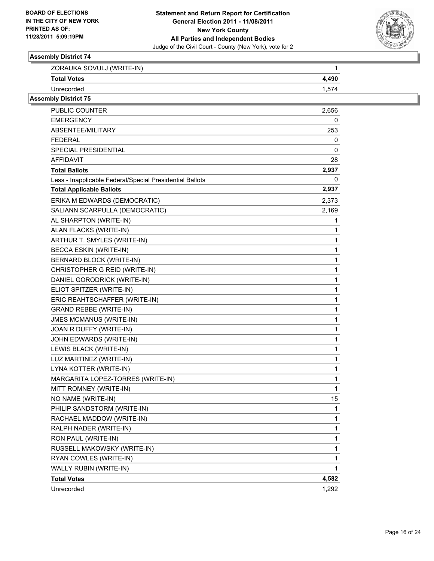

| ZORAUKA SOVULJ (WRITE-IN) |       |
|---------------------------|-------|
| <b>Total Votes</b>        | 4.490 |
| Unrecorded                |       |

| <b>PUBLIC COUNTER</b>                                    | 2,656 |
|----------------------------------------------------------|-------|
| EMERGENCY                                                | 0     |
| ABSENTEE/MILITARY                                        | 253   |
| <b>FEDERAL</b>                                           | 0     |
| SPECIAL PRESIDENTIAL                                     | 0     |
| <b>AFFIDAVIT</b>                                         | 28    |
| <b>Total Ballots</b>                                     | 2,937 |
| Less - Inapplicable Federal/Special Presidential Ballots | 0     |
| <b>Total Applicable Ballots</b>                          | 2,937 |
| ERIKA M EDWARDS (DEMOCRATIC)                             | 2,373 |
| SALIANN SCARPULLA (DEMOCRATIC)                           | 2,169 |
| AL SHARPTON (WRITE-IN)                                   | 1     |
| ALAN FLACKS (WRITE-IN)                                   | 1     |
| ARTHUR T. SMYLES (WRITE-IN)                              | 1     |
| <b>BECCA ESKIN (WRITE-IN)</b>                            | 1     |
| BERNARD BLOCK (WRITE-IN)                                 | 1     |
| CHRISTOPHER G REID (WRITE-IN)                            | 1     |
| DANIEL GORODRICK (WRITE-IN)                              | 1     |
| ELIOT SPITZER (WRITE-IN)                                 | 1     |
| ERIC REAHTSCHAFFER (WRITE-IN)                            | 1     |
| <b>GRAND REBBE (WRITE-IN)</b>                            | 1     |
| <b>JMES MCMANUS (WRITE-IN)</b>                           | 1     |
| JOAN R DUFFY (WRITE-IN)                                  | 1     |
| JOHN EDWARDS (WRITE-IN)                                  | 1     |
| LEWIS BLACK (WRITE-IN)                                   | 1     |
| LUZ MARTINEZ (WRITE-IN)                                  | 1     |
| LYNA KOTTER (WRITE-IN)                                   | 1     |
| MARGARITA LOPEZ-TORRES (WRITE-IN)                        | 1     |
| MITT ROMNEY (WRITE-IN)                                   | 1     |
| NO NAME (WRITE-IN)                                       | 15    |
| PHILIP SANDSTORM (WRITE-IN)                              | 1     |
| RACHAEL MADDOW (WRITE-IN)                                | 1     |
| RALPH NADER (WRITE-IN)                                   | 1     |
| RON PAUL (WRITE-IN)                                      | 1     |
| RUSSELL MAKOWSKY (WRITE-IN)                              | 1     |
| RYAN COWLES (WRITE-IN)                                   | 1     |
| WALLY RUBIN (WRITE-IN)                                   | 1     |
| <b>Total Votes</b>                                       | 4,582 |
| Unrecorded                                               | 1,292 |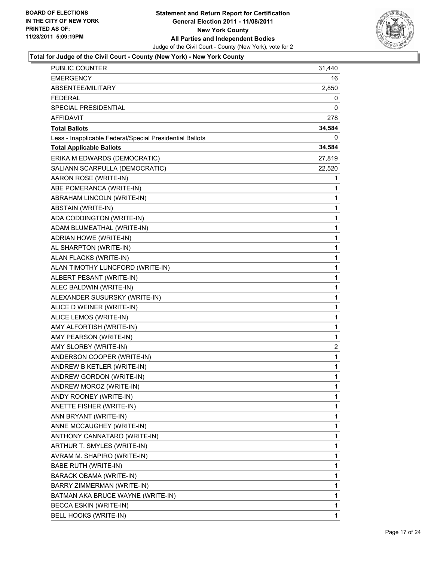

| <b>PUBLIC COUNTER</b>                                    | 31,440       |
|----------------------------------------------------------|--------------|
| <b>EMERGENCY</b>                                         | 16           |
| ABSENTEE/MILITARY                                        | 2,850        |
| <b>FEDERAL</b>                                           | 0            |
| SPECIAL PRESIDENTIAL                                     | 0            |
| <b>AFFIDAVIT</b>                                         | 278          |
| <b>Total Ballots</b>                                     | 34,584       |
| Less - Inapplicable Federal/Special Presidential Ballots |              |
| <b>Total Applicable Ballots</b>                          | 34,584       |
| ERIKA M EDWARDS (DEMOCRATIC)                             | 27,819       |
| SALIANN SCARPULLA (DEMOCRATIC)                           | 22,520       |
| AARON ROSE (WRITE-IN)                                    | 1            |
| ABE POMERANCA (WRITE-IN)                                 | 1            |
| ABRAHAM LINCOLN (WRITE-IN)                               | 1            |
| ABSTAIN (WRITE-IN)                                       | 1            |
| ADA CODDINGTON (WRITE-IN)                                | 1            |
| ADAM BLUMEATHAL (WRITE-IN)                               | 1            |
| ADRIAN HOWE (WRITE-IN)                                   | 1            |
| AL SHARPTON (WRITE-IN)                                   | 1            |
| ALAN FLACKS (WRITE-IN)                                   | 1            |
| ALAN TIMOTHY LUNCFORD (WRITE-IN)                         | 1            |
| ALBERT PESANT (WRITE-IN)                                 | 1            |
| ALEC BALDWIN (WRITE-IN)                                  | 1            |
| ALEXANDER SUSURSKY (WRITE-IN)                            | 1            |
| ALICE D WEINER (WRITE-IN)                                | 1            |
| ALICE LEMOS (WRITE-IN)                                   | $\mathbf{1}$ |
| AMY ALFORTISH (WRITE-IN)                                 | 1            |
| AMY PEARSON (WRITE-IN)                                   | 1            |
| AMY SLORBY (WRITE-IN)                                    | 2            |
| ANDERSON COOPER (WRITE-IN)                               | 1            |
| ANDREW B KETLER (WRITE-IN)                               | 1            |
| ANDREW GORDON (WRITE-IN)                                 | 1            |
| ANDREW MOROZ (WRITE-IN)                                  | 1            |
| ANDY ROONEY (WRITE-IN)                                   | 1            |
| ANETTE FISHER (WRITE-IN)                                 | 1            |
| ANN BRYANT (WRITE-IN)                                    | 1            |
| ANNE MCCAUGHEY (WRITE-IN)                                | 1            |
| ANTHONY CANNATARO (WRITE-IN)                             | 1            |
| ARTHUR T. SMYLES (WRITE-IN)                              | 1            |
| AVRAM M. SHAPIRO (WRITE-IN)                              | 1            |
| <b>BABE RUTH (WRITE-IN)</b>                              | 1            |
| BARACK OBAMA (WRITE-IN)                                  | 1            |
| BARRY ZIMMERMAN (WRITE-IN)                               | 1            |
| BATMAN AKA BRUCE WAYNE (WRITE-IN)                        | 1            |
| BECCA ESKIN (WRITE-IN)                                   | 1            |
| BELL HOOKS (WRITE-IN)                                    | 1            |
|                                                          |              |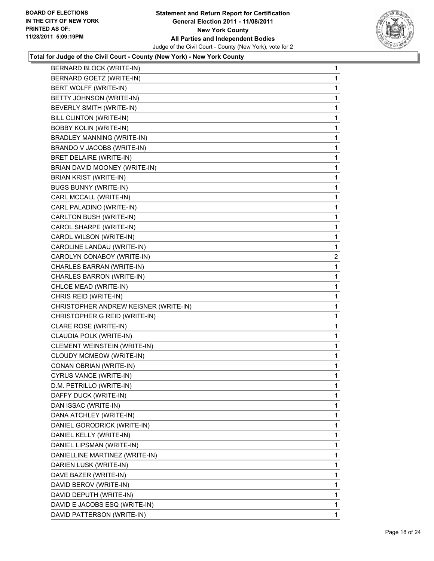

| BERNARD BLOCK (WRITE-IN)              | 1            |
|---------------------------------------|--------------|
| BERNARD GOETZ (WRITE-IN)              | 1            |
| BERT WOLFF (WRITE-IN)                 | 1            |
| BETTY JOHNSON (WRITE-IN)              | 1            |
| BEVERLY SMITH (WRITE-IN)              | 1            |
| BILL CLINTON (WRITE-IN)               | 1            |
| <b>BOBBY KOLIN (WRITE-IN)</b>         | 1            |
| BRADLEY MANNING (WRITE-IN)            | 1            |
| BRANDO V JACOBS (WRITE-IN)            | 1            |
| BRET DELAIRE (WRITE-IN)               | 1            |
| BRIAN DAVID MOONEY (WRITE-IN)         | 1            |
| BRIAN KRIST (WRITE-IN)                | 1            |
| <b>BUGS BUNNY (WRITE-IN)</b>          | 1            |
| CARL MCCALL (WRITE-IN)                | 1            |
| CARL PALADINO (WRITE-IN)              | 1            |
| CARLTON BUSH (WRITE-IN)               | 1            |
| CAROL SHARPE (WRITE-IN)               | 1            |
| CAROL WILSON (WRITE-IN)               | 1            |
| CAROLINE LANDAU (WRITE-IN)            | 1            |
| CAROLYN CONABOY (WRITE-IN)            | 2            |
| CHARLES BARRAN (WRITE-IN)             | 1            |
| CHARLES BARRON (WRITE-IN)             | 1            |
| CHLOE MEAD (WRITE-IN)                 | 1            |
| CHRIS REID (WRITE-IN)                 | 1            |
| CHRISTOPHER ANDREW KEISNER (WRITE-IN) | 1            |
| CHRISTOPHER G REID (WRITE-IN)         | 1            |
| CLARE ROSE (WRITE-IN)                 | 1            |
| CLAUDIA POLK (WRITE-IN)               | 1            |
| CLEMENT WEINSTEIN (WRITE-IN)          | 1            |
| CLOUDY MCMEOW (WRITE-IN)              | 1            |
| CONAN OBRIAN (WRITE-IN)               | 1            |
| CYRUS VANCE (WRITE-IN)                | 1            |
| D.M. PETRILLO (WRITE-IN)              | 1            |
| DAFFY DUCK (WRITE-IN)                 | 1            |
| DAN ISSAC (WRITE-IN)                  | 1            |
| DANA ATCHLEY (WRITE-IN)               | 1            |
| DANIEL GORODRICK (WRITE-IN)           | 1            |
| DANIEL KELLY (WRITE-IN)               | 1            |
| DANIEL LIPSMAN (WRITE-IN)             | 1            |
| DANIELLINE MARTINEZ (WRITE-IN)        | 1            |
| DARIEN LUSK (WRITE-IN)                | 1            |
| DAVE BAZER (WRITE-IN)                 | 1            |
| DAVID BEROV (WRITE-IN)                | 1            |
| DAVID DEPUTH (WRITE-IN)               | 1            |
| DAVID E JACOBS ESQ (WRITE-IN)         | 1            |
| DAVID PATTERSON (WRITE-IN)            | $\mathbf{1}$ |
|                                       |              |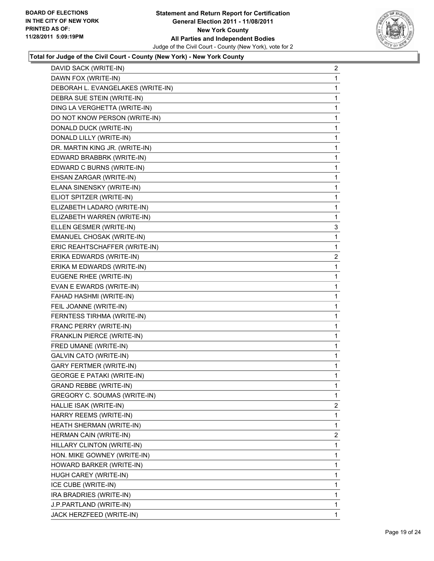

| DAVID SACK (WRITE-IN)             | $\overline{2}$ |
|-----------------------------------|----------------|
| DAWN FOX (WRITE-IN)               | 1              |
| DEBORAH L. EVANGELAKES (WRITE-IN) | 1              |
| DEBRA SUE STEIN (WRITE-IN)        | 1              |
| DING LA VERGHETTA (WRITE-IN)      | 1              |
| DO NOT KNOW PERSON (WRITE-IN)     | 1              |
| DONALD DUCK (WRITE-IN)            | 1              |
| DONALD LILLY (WRITE-IN)           | 1              |
| DR. MARTIN KING JR. (WRITE-IN)    | 1              |
| EDWARD BRABBRK (WRITE-IN)         | 1              |
| EDWARD C BURNS (WRITE-IN)         | 1              |
| EHSAN ZARGAR (WRITE-IN)           | 1              |
| ELANA SINENSKY (WRITE-IN)         | 1              |
| ELIOT SPITZER (WRITE-IN)          | 1              |
| ELIZABETH LADARO (WRITE-IN)       | 1              |
| ELIZABETH WARREN (WRITE-IN)       | 1              |
| ELLEN GESMER (WRITE-IN)           | 3              |
| EMANUEL CHOSAK (WRITE-IN)         | 1              |
| ERIC REAHTSCHAFFER (WRITE-IN)     | 1              |
| ERIKA EDWARDS (WRITE-IN)          | $\overline{c}$ |
| ERIKA M EDWARDS (WRITE-IN)        | 1              |
| EUGENE RHEE (WRITE-IN)            | 1              |
| EVAN E EWARDS (WRITE-IN)          | 1              |
| FAHAD HASHMI (WRITE-IN)           | 1              |
| FEIL JOANNE (WRITE-IN)            | 1              |
| FERNTESS TIRHMA (WRITE-IN)        | 1              |
| FRANC PERRY (WRITE-IN)            | 1              |
| FRANKLIN PIERCE (WRITE-IN)        | 1              |
| FRED UMANE (WRITE-IN)             | 1              |
| <b>GALVIN CATO (WRITE-IN)</b>     | 1              |
| <b>GARY FERTMER (WRITE-IN)</b>    | 1              |
| <b>GEORGE E PATAKI (WRITE-IN)</b> | 1              |
| <b>GRAND REBBE (WRITE-IN)</b>     | 1              |
| GREGORY C. SOUMAS (WRITE-IN)      | $\mathbf{1}$   |
| HALLIE ISAK (WRITE-IN)            | 2              |
| HARRY REEMS (WRITE-IN)            | 1              |
| HEATH SHERMAN (WRITE-IN)          | 1              |
| HERMAN CAIN (WRITE-IN)            | 2              |
| HILLARY CLINTON (WRITE-IN)        | 1              |
| HON. MIKE GOWNEY (WRITE-IN)       | 1              |
| HOWARD BARKER (WRITE-IN)          | 1              |
| HUGH CAREY (WRITE-IN)             | 1              |
| ICE CUBE (WRITE-IN)               | 1              |
| IRA BRADRIES (WRITE-IN)           | $\mathbf{1}$   |
| J.P.PARTLAND (WRITE-IN)           | 1              |
| JACK HERZFEED (WRITE-IN)          | $\mathbf{1}$   |
|                                   |                |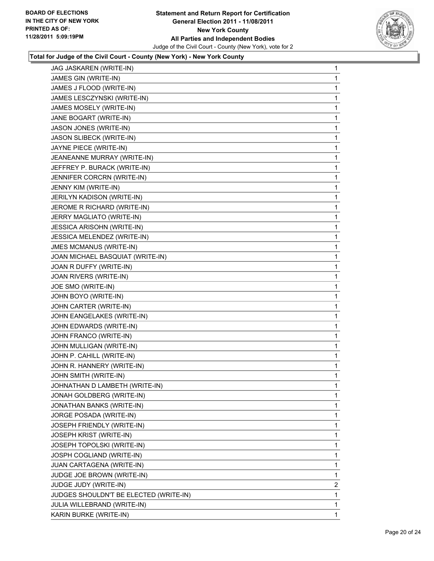

| JAG JASKAREN (WRITE-IN)                | 1              |
|----------------------------------------|----------------|
| JAMES GIN (WRITE-IN)                   | 1              |
| JAMES J FLOOD (WRITE-IN)               | 1              |
| JAMES LESCZYNSKI (WRITE-IN)            | 1              |
| JAMES MOSELY (WRITE-IN)                | 1              |
| JANE BOGART (WRITE-IN)                 | 1              |
| JASON JONES (WRITE-IN)                 | 1              |
| JASON SLIBECK (WRITE-IN)               | 1              |
| JAYNE PIECE (WRITE-IN)                 | 1              |
| JEANEANNE MURRAY (WRITE-IN)            | 1              |
| JEFFREY P. BURACK (WRITE-IN)           | 1              |
| JENNIFER CORCRN (WRITE-IN)             | 1              |
| JENNY KIM (WRITE-IN)                   | 1              |
| JERILYN KADISON (WRITE-IN)             | 1              |
| JEROME R RICHARD (WRITE-IN)            | 1              |
| JERRY MAGLIATO (WRITE-IN)              | 1              |
| <b>JESSICA ARISOHN (WRITE-IN)</b>      | 1              |
| JESSICA MELENDEZ (WRITE-IN)            | 1              |
| <b>JMES MCMANUS (WRITE-IN)</b>         | 1              |
| JOAN MICHAEL BASQUIAT (WRITE-IN)       | 1              |
| JOAN R DUFFY (WRITE-IN)                | 1              |
| JOAN RIVERS (WRITE-IN)                 | 1              |
| JOE SMO (WRITE-IN)                     | 1              |
| JOHN BOYO (WRITE-IN)                   | 1              |
| JOHN CARTER (WRITE-IN)                 | 1              |
| JOHN EANGELAKES (WRITE-IN)             | 1              |
| JOHN EDWARDS (WRITE-IN)                | 1              |
| JOHN FRANCO (WRITE-IN)                 | 1              |
| JOHN MULLIGAN (WRITE-IN)               | 1              |
| JOHN P. CAHILL (WRITE-IN)              | 1              |
| JOHN R. HANNERY (WRITE-IN)             | 1              |
| JOHN SMITH (WRITE-IN)                  | 1              |
| JOHNATHAN D LAMBETH (WRITE-IN)         | 1              |
| JONAH GOLDBERG (WRITE-IN)              | 1              |
| JONATHAN BANKS (WRITE-IN)              | 1              |
| JORGE POSADA (WRITE-IN)                | 1              |
| JOSEPH FRIENDLY (WRITE-IN)             | 1              |
| JOSEPH KRIST (WRITE-IN)                | 1              |
| JOSEPH TOPOLSKI (WRITE-IN)             | 1              |
| JOSPH COGLIAND (WRITE-IN)              | 1              |
| JUAN CARTAGENA (WRITE-IN)              | 1              |
| JUDGE JOE BROWN (WRITE-IN)             | 1              |
| JUDGE JUDY (WRITE-IN)                  | $\overline{2}$ |
| JUDGES SHOULDN'T BE ELECTED (WRITE-IN) | 1              |
| JULIA WILLEBRAND (WRITE-IN)            | 1              |
| KARIN BURKE (WRITE-IN)                 | 1              |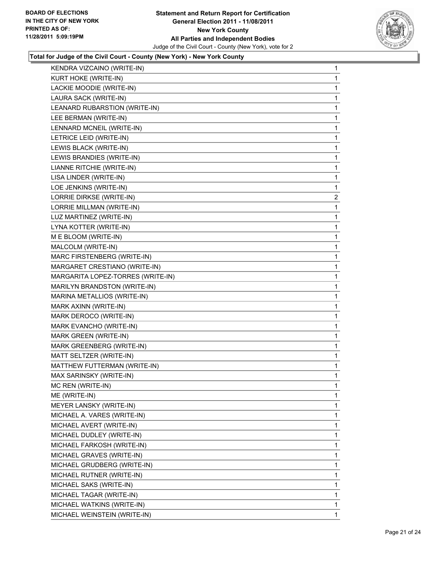

| KENDRA VIZCAINO (WRITE-IN)        | 1              |
|-----------------------------------|----------------|
| KURT HOKE (WRITE-IN)              | 1              |
| LACKIE MOODIE (WRITE-IN)          | 1              |
| LAURA SACK (WRITE-IN)             | 1              |
| LEANARD RUBARSTION (WRITE-IN)     | 1              |
| LEE BERMAN (WRITE-IN)             | 1              |
| LENNARD MCNEIL (WRITE-IN)         | 1              |
| LETRICE LEID (WRITE-IN)           | 1              |
| LEWIS BLACK (WRITE-IN)            | 1              |
| LEWIS BRANDIES (WRITE-IN)         | 1              |
| LIANNE RITCHIE (WRITE-IN)         | 1              |
| LISA LINDER (WRITE-IN)            | 1              |
| LOE JENKINS (WRITE-IN)            | 1              |
| LORRIE DIRKSE (WRITE-IN)          | $\overline{2}$ |
| LORRIE MILLMAN (WRITE-IN)         | 1              |
| LUZ MARTINEZ (WRITE-IN)           | 1              |
| LYNA KOTTER (WRITE-IN)            | 1              |
| M E BLOOM (WRITE-IN)              | 1              |
| MALCOLM (WRITE-IN)                | 1              |
| MARC FIRSTENBERG (WRITE-IN)       | 1              |
| MARGARET CRESTIANO (WRITE-IN)     | 1              |
| MARGARITA LOPEZ-TORRES (WRITE-IN) | 1              |
| MARILYN BRANDSTON (WRITE-IN)      | 1              |
| MARINA METALLIOS (WRITE-IN)       | 1              |
| MARK AXINN (WRITE-IN)             | 1              |
| MARK DEROCO (WRITE-IN)            | 1              |
| MARK EVANCHO (WRITE-IN)           | 1              |
| MARK GREEN (WRITE-IN)             | 1              |
| MARK GREENBERG (WRITE-IN)         | 1              |
| MATT SELTZER (WRITE-IN)           | 1              |
| MATTHEW FUTTERMAN (WRITE-IN)      | 1              |
| MAX SARINSKY (WRITE-IN)           | 1              |
| MC REN (WRITE-IN)                 | 1              |
| ME (WRITE-IN)                     | 1              |
| MEYER LANSKY (WRITE-IN)           | 1              |
| MICHAEL A. VARES (WRITE-IN)       | 1              |
| MICHAEL AVERT (WRITE-IN)          | 1              |
| MICHAEL DUDLEY (WRITE-IN)         | 1              |
| MICHAEL FARKOSH (WRITE-IN)        | 1              |
| MICHAEL GRAVES (WRITE-IN)         | 1              |
| MICHAEL GRUDBERG (WRITE-IN)       | 1              |
| MICHAEL RUTNER (WRITE-IN)         | 1              |
| MICHAEL SAKS (WRITE-IN)           | 1              |
| MICHAEL TAGAR (WRITE-IN)          | 1              |
| MICHAEL WATKINS (WRITE-IN)        | 1              |
|                                   |                |
| MICHAEL WEINSTEIN (WRITE-IN)      | $\mathbf{1}$   |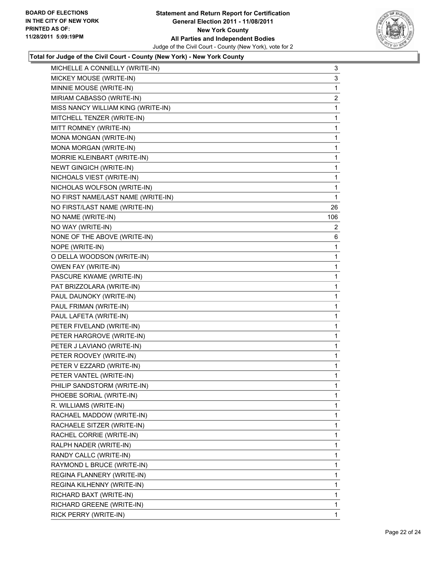

| MICHELLE A CONNELLY (WRITE-IN)     | 3   |
|------------------------------------|-----|
| MICKEY MOUSE (WRITE-IN)            | 3   |
| MINNIE MOUSE (WRITE-IN)            | 1   |
| MIRIAM CABASSO (WRITE-IN)          | 2   |
| MISS NANCY WILLIAM KING (WRITE-IN) | 1   |
| MITCHELL TENZER (WRITE-IN)         | 1   |
| MITT ROMNEY (WRITE-IN)             | 1   |
| MONA MONGAN (WRITE-IN)             | 1   |
| MONA MORGAN (WRITE-IN)             | 1   |
| MORRIE KLEINBART (WRITE-IN)        | 1   |
| <b>NEWT GINGICH (WRITE-IN)</b>     | 1   |
| NICHOALS VIEST (WRITE-IN)          | 1   |
| NICHOLAS WOLFSON (WRITE-IN)        | 1   |
| NO FIRST NAME/LAST NAME (WRITE-IN) | 1   |
| NO FIRST/LAST NAME (WRITE-IN)      | 26  |
| NO NAME (WRITE-IN)                 | 106 |
| NO WAY (WRITE-IN)                  | 2   |
| NONE OF THE ABOVE (WRITE-IN)       | 6   |
| NOPE (WRITE-IN)                    | 1   |
| O DELLA WOODSON (WRITE-IN)         | 1   |
| OWEN FAY (WRITE-IN)                | 1   |
| PASCURE KWAME (WRITE-IN)           | 1   |
| PAT BRIZZOLARA (WRITE-IN)          | 1   |
| PAUL DAUNOKY (WRITE-IN)            | 1   |
| PAUL FRIMAN (WRITE-IN)             | 1   |
| PAUL LAFETA (WRITE-IN)             | 1   |
| PETER FIVELAND (WRITE-IN)          | 1   |
| PETER HARGROVE (WRITE-IN)          | 1   |
| PETER J LAVIANO (WRITE-IN)         | 1   |
| PETER ROOVEY (WRITE-IN)            | 1   |
| PETER V EZZARD (WRITE-IN)          | 1   |
| PETER VANTEL (WRITE-IN)            | 1   |
| PHILIP SANDSTORM (WRITE-IN)        | 1   |
| PHOEBE SORIAL (WRITE-IN)           | 1   |
| R. WILLIAMS (WRITE-IN)             | 1   |
| RACHAEL MADDOW (WRITE-IN)          | 1   |
| RACHAELE SITZER (WRITE-IN)         | 1   |
| RACHEL CORRIE (WRITE-IN)           | 1   |
| RALPH NADER (WRITE-IN)             | 1   |
| RANDY CALLC (WRITE-IN)             | 1   |
| RAYMOND L BRUCE (WRITE-IN)         | 1   |
| REGINA FLANNERY (WRITE-IN)         | 1   |
| REGINA KILHENNY (WRITE-IN)         | 1   |
| RICHARD BAXT (WRITE-IN)            | 1   |
| RICHARD GREENE (WRITE-IN)          | 1   |
| RICK PERRY (WRITE-IN)              | 1   |
|                                    |     |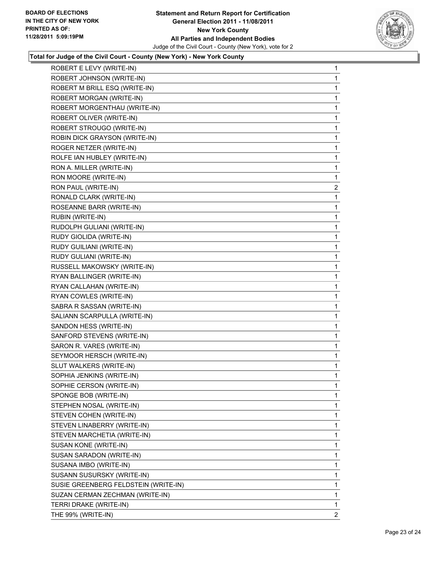

| ROBERT E LEVY (WRITE-IN)             | 1            |
|--------------------------------------|--------------|
| ROBERT JOHNSON (WRITE-IN)            | 1            |
| ROBERT M BRILL ESQ (WRITE-IN)        | 1            |
| ROBERT MORGAN (WRITE-IN)             | 1            |
| ROBERT MORGENTHAU (WRITE-IN)         | 1            |
| ROBERT OLIVER (WRITE-IN)             | 1            |
| ROBERT STROUGO (WRITE-IN)            | 1            |
| ROBIN DICK GRAYSON (WRITE-IN)        | 1            |
| ROGER NETZER (WRITE-IN)              | 1            |
| ROLFE IAN HUBLEY (WRITE-IN)          | 1            |
| RON A. MILLER (WRITE-IN)             | 1            |
| RON MOORE (WRITE-IN)                 | 1            |
| RON PAUL (WRITE-IN)                  | $\mathbf{2}$ |
| RONALD CLARK (WRITE-IN)              | 1            |
| ROSEANNE BARR (WRITE-IN)             | 1            |
| RUBIN (WRITE-IN)                     | 1            |
| RUDOLPH GULIANI (WRITE-IN)           | 1            |
| RUDY GIOLIDA (WRITE-IN)              | 1            |
| RUDY GUILIANI (WRITE-IN)             | 1            |
| RUDY GULIANI (WRITE-IN)              | 1            |
| RUSSELL MAKOWSKY (WRITE-IN)          | 1            |
| RYAN BALLINGER (WRITE-IN)            | 1            |
| RYAN CALLAHAN (WRITE-IN)             | 1            |
| RYAN COWLES (WRITE-IN)               | 1            |
| SABRA R SASSAN (WRITE-IN)            | 1            |
| SALIANN SCARPULLA (WRITE-IN)         | 1            |
| SANDON HESS (WRITE-IN)               | 1            |
| SANFORD STEVENS (WRITE-IN)           | 1            |
| SARON R. VARES (WRITE-IN)            | 1            |
| SEYMOOR HERSCH (WRITE-IN)            | 1            |
| SLUT WALKERS (WRITE-IN)              | 1            |
| SOPHIA JENKINS (WRITE-IN)            | 1            |
| SOPHIE CERSON (WRITE-IN)             | 1            |
| SPONGE BOB (WRITE-IN)                | 1            |
| STEPHEN NOSAL (WRITE-IN)             | 1            |
| STEVEN COHEN (WRITE-IN)              | 1            |
| STEVEN LINABERRY (WRITE-IN)          | 1            |
| STEVEN MARCHETIA (WRITE-IN)          | 1            |
| SUSAN KONE (WRITE-IN)                | 1            |
| SUSAN SARADON (WRITE-IN)             | 1            |
| SUSANA IMBO (WRITE-IN)               | 1            |
| SUSANN SUSURSKY (WRITE-IN)           | 1            |
| SUSIE GREENBERG FELDSTEIN (WRITE-IN) | 1            |
| SUZAN CERMAN ZECHMAN (WRITE-IN)      | 1            |
| TERRI DRAKE (WRITE-IN)               | 1            |
| THE 99% (WRITE-IN)                   | $\mathbf{2}$ |
|                                      |              |